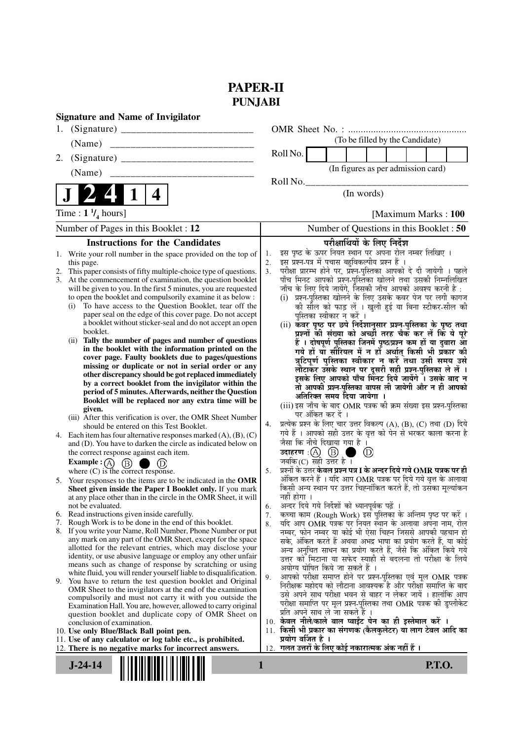# **PAPER-II PUNJABI**

| <b>Signature and Name of Invigilator</b>                                                                                             |                                                                                                                                   |  |  |  |  |
|--------------------------------------------------------------------------------------------------------------------------------------|-----------------------------------------------------------------------------------------------------------------------------------|--|--|--|--|
|                                                                                                                                      |                                                                                                                                   |  |  |  |  |
| (Name)                                                                                                                               | (To be filled by the Candidate)                                                                                                   |  |  |  |  |
| 2.                                                                                                                                   | Roll No.                                                                                                                          |  |  |  |  |
|                                                                                                                                      | (In figures as per admission card)                                                                                                |  |  |  |  |
|                                                                                                                                      | Roll No.<br>(In words)                                                                                                            |  |  |  |  |
| 1<br>4                                                                                                                               |                                                                                                                                   |  |  |  |  |
| Time : $1 \frac{1}{4}$ hours]                                                                                                        | [Maximum Marks: 100]                                                                                                              |  |  |  |  |
| Number of Pages in this Booklet : 12                                                                                                 | Number of Questions in this Booklet: 50                                                                                           |  |  |  |  |
| <b>Instructions for the Candidates</b>                                                                                               | परीक्षार्थियों के लिए निर्देश                                                                                                     |  |  |  |  |
| Write your roll number in the space provided on the top of<br>1.                                                                     | इस पृष्ठ के ऊपर नियत स्थान पर अपना रोल नम्बर लिखिए ।<br>1.                                                                        |  |  |  |  |
| this page.                                                                                                                           | इस प्रश्न-पत्र में पचास बहुविकल्पीय प्रश्न हैं ।<br>2.<br>परीक्षा प्रारम्भ होने पर, प्रश्न-पुस्तिका आपको दे दी जायेगी । पहले      |  |  |  |  |
| This paper consists of fifty multiple-choice type of questions.<br>2.<br>3. At the commencement of examination, the question booklet | 3 <sub>1</sub><br>पाँच मिनट आपको प्रश्न-पुस्तिका खोलने तथा उसकी निम्नलिखित                                                        |  |  |  |  |
| will be given to you. In the first 5 minutes, you are requested                                                                      | जाँच के लिए दिये जायेंगे, जिसकी जाँच आपको अवश्य करनी है :                                                                         |  |  |  |  |
| to open the booklet and compulsorily examine it as below :                                                                           | (i) प्रश्न-पुस्तिका खोलने के लिए उसके कवर पेज पर लगी कागज                                                                         |  |  |  |  |
| To have access to the Question Booklet, tear off the<br>(i)                                                                          | की सील को फाड़ लें । खुली हुई या बिना स्टीकर-सील की                                                                               |  |  |  |  |
| paper seal on the edge of this cover page. Do not accept                                                                             | पुस्तिका स्वीकार न करें ।                                                                                                         |  |  |  |  |
| a booklet without sticker-seal and do not accept an open<br>booklet.                                                                 | (ii) कवर पृष्ठ पर छपे निर्देशानुसार प्रश्न-पुस्तिका के पृष्ठ तथा<br>प्रश्नों की संख्या को अच्छी तरह चैक कर लें कि ये पूरे         |  |  |  |  |
| (ii) Tally the number of pages and number of questions                                                                               | हैं । दोषपूर्ण पुस्तिका जिनमें पृष्ठ/प्रश्न कम हों या दुबारा आ                                                                    |  |  |  |  |
| in the booklet with the information printed on the                                                                                   | गये हों या सीरियल में न हों अर्थात् किसी भी प्रकार की                                                                             |  |  |  |  |
| cover page. Faulty booklets due to pages/questions                                                                                   | त्रुटिपूर्ण पुस्तिका स्वीकार न करें तथा उसी समय उसे                                                                               |  |  |  |  |
| missing or duplicate or not in serial order or any<br>other discrepancy should be got replaced immediately                           | लौटाकर उसके स्थान पर दूसरी सही प्रश्न-पुस्तिका ले लें ।                                                                           |  |  |  |  |
| by a correct booklet from the invigilator within the                                                                                 | इसके लिए आपको पाँच मिनट दिये जायेंगे ँ। उसके बाद न<br>तो आपकी प्रश्न-पुस्तिका वापस ली जायेगी और न ही आपको                         |  |  |  |  |
| period of 5 minutes. Afterwards, neither the Question                                                                                | अतिरिक्त समय दिया जायेगा ।                                                                                                        |  |  |  |  |
| Booklet will be replaced nor any extra time will be                                                                                  | (iii) इस जाँच के बाद OMR पत्रक की क्रम संख्या इस प्रश्न-पुस्तिका                                                                  |  |  |  |  |
| given.<br>(iii) After this verification is over, the OMR Sheet Number                                                                | पर अंकित कर दें ।                                                                                                                 |  |  |  |  |
| should be entered on this Test Booklet.                                                                                              | प्रत्येक प्रश्न के लिए चार उत्तर विकल्प (A), (B), (C) तथा (D) दिये<br>4.                                                          |  |  |  |  |
| 4. Each item has four alternative responses marked $(A)$ , $(B)$ , $(C)$                                                             | गये हैं । आपको सही उत्तर के वृत्त को पेन से भरकर काला करना है                                                                     |  |  |  |  |
| and (D). You have to darken the circle as indicated below on                                                                         | जैसा कि नीचे दिखाया गया है ।                                                                                                      |  |  |  |  |
| the correct response against each item.                                                                                              | उदाहरण $\cdot$ (A) $\circ$ (B)<br>$\circled{\scriptstyle D}$<br>जबकि $(C)$ सही उत्तर है।                                          |  |  |  |  |
| Example : $(A)$ $(B)$<br>(D)<br>a an<br>where (C) is the correct response.                                                           | प्रश्नों के उत्तर <b>केवल प्रश्न पत्र I के अन्दर दिये गये OMR पत्रक पर ही</b><br>5.                                               |  |  |  |  |
| 5. Your responses to the items are to be indicated in the OMR                                                                        | अंकित करने हैं । यदि आप OMR पत्रक पर दिये गये वृत्त के अलावा                                                                      |  |  |  |  |
| Sheet given inside the Paper I Booklet only. If you mark                                                                             | किसी अन्य स्थान पर उत्तर चिह्नांकित करते हैं, तो उसका मुल्यांकन                                                                   |  |  |  |  |
| at any place other than in the circle in the OMR Sheet, it will                                                                      | नहीं होगा ।                                                                                                                       |  |  |  |  |
| not be evaluated.                                                                                                                    | 6.                                                                                                                                |  |  |  |  |
| 6. Read instructions given inside carefully.<br>Rough Work is to be done in the end of this booklet.<br>7.                           | कच्चा काम (Rough Work) इस पुस्तिका के अन्तिम पृष्ठ पर करें ।<br>7.<br>यदि आप OMR पत्रक पर नियत स्थान के अलावा अपना नाम, रोल<br>8. |  |  |  |  |
| 8. If you write your Name, Roll Number, Phone Number or put                                                                          | नम्बर, फोन नम्बर या कोई भी ऐसा चिह्न जिससे आपकी पहचान हो                                                                          |  |  |  |  |
| any mark on any part of the OMR Sheet, except for the space                                                                          | सके, अंकित करते हैं अथवा अभद्र भाषा का प्रयोग करते हैं, या कोई                                                                    |  |  |  |  |
| allotted for the relevant entries, which may disclose your<br>identity, or use abusive language or employ any other unfair           | अन्य अनुचित साधन का प्रयोग करते हैं, जैसे कि अंकित किये गये                                                                       |  |  |  |  |
| means such as change of response by scratching or using                                                                              | उत्तर को मिटाना या सफेद स्याही से बदलना तो परीक्षा के लिये<br>अयोग्य घोषित किये जा सकते हैं ।                                     |  |  |  |  |
| white fluid, you will render yourself liable to disqualification.                                                                    | आपको परीक्षा समाप्त होने पर प्रश्न-पुस्तिका एवं मूल OMR पत्रक<br>9.                                                               |  |  |  |  |
| 9. You have to return the test question booklet and Original<br>OMR Sheet to the invigilators at the end of the examination          | निरीक्षक महोदय को लौटाना आवश्यक है और परीक्षा समाप्ति के बाद                                                                      |  |  |  |  |
| compulsorily and must not carry it with you outside the                                                                              | उसे अपने साथ परीक्षा भवन से बाहर न लेकर जायें । हालांकि आप                                                                        |  |  |  |  |
| Examination Hall. You are, however, allowed to carry original                                                                        | परीक्षा समाप्ति पर मूल प्रश्न-पुस्तिका तथा OMR पत्रक की डुप्लीकेट                                                                 |  |  |  |  |
| question booklet and duplicate copy of OMR Sheet on                                                                                  | प्रति अपने साथ ले जा सकते हैं ।<br>10. केवल नीले/काले बाल प्वाईट पेन का ही इस्तेमाल करें ।                                        |  |  |  |  |
| conclusion of examination.<br>10. Use only Blue/Black Ball point pen.                                                                | 11. किसी भी प्रकार का संगणक (कैलकुलेटर) या लाग टेबल आदि का                                                                        |  |  |  |  |
| 11. Use of any calculator or log table etc., is prohibited.                                                                          | प्रयोग वर्जित है ।                                                                                                                |  |  |  |  |
| 12. There is no negative marks for incorrect answers.                                                                                | गलत उत्तरों के लिए कोई नकारात्मक अंक नहीं हैं ।<br>12.                                                                            |  |  |  |  |
| 1                                                                                                                                    |                                                                                                                                   |  |  |  |  |
| $J-24-14$                                                                                                                            | <b>P.T.O.</b>                                                                                                                     |  |  |  |  |
|                                                                                                                                      |                                                                                                                                   |  |  |  |  |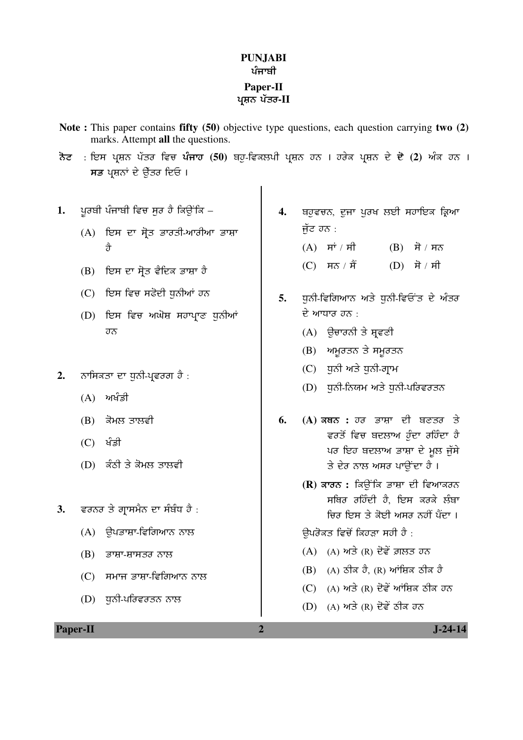### **PUNJABI**  ਪੰਜਾਬੀ **Paper-II**  ਪਸ਼ਨ ਪੱਤਰ-**II**

- **Note :** This paper contains **fifty (50)** objective type questions, each question carrying **two (2)** marks. Attempt **all** the questions.
- <mark>ਨੋਟ : ਇਸ ਪ੍ਰਸ਼ਨ ਪੱਤਰ ਵਿਚ <mark>ਪੰਜਾਹ (50</mark>) ਬਹੁ-ਵਿਕਲਪੀ ਪ੍ਰਸ਼ਨ ਹਨ । ਹਰੇਕ ਪ੍ਰਸ਼ਨ ਦੇ **ਦੋ (2)** ਅੰਕ ਹਨ ।</mark> ਸਭ ਪਸ਼ਨਾਂ ਦੇ ਉੱਤਰ ਦਿਓ ।
- 1. ਪੂਰਬੀ ਪੰਜਾਬੀ ਵਿਚ ਸੂਰ ਹੈ ਕਿਉਂਕਿ
	- $(A)$  ਇਸ ਦਾ ਸੋਤ ਭਾਰਤੀ-ਆਰੀਆ ਭਾਸ਼ਾ  $\hat{A}$
	- $(B)$  ਇਸ ਦਾ ਸੋਤ ਵੈਦਿਕ ਭਾਸ਼ਾ ਹੈ
	- (C) ਇਸ ਵਿਚ ਸਫੋਦੀ ਧੁਨੀਆਂ ਹਨ
	- (D) ਇਸ ਵਿਚ ਅਘੋਸ਼ ਸਹਾਪ੍ਰਾਣ ਧੁਨੀਆਂ ਹਨ
- 2. ਨਾਸਿਕਤਾ ਦਾ ਧਨੀ-ਪਵਰਗ ਹੈ :
	- $(A)$  ਅਖੰਡੀ
	- $(B)$  ਕੋਮਲ ਤਾਲਵੀ
	- $(C)$  ਖੰਡੀ
	- $(D)$ ਂ ਕੰਠੀ ਤੇ ਕੋਮਲ ਤਾਲਵੀ
- 3. **ਵਰਨਰ ਤੇ ਗ੍ਰਾਸਮੈਨ ਦਾ ਸੰਬੰਧ ਹੈ** :
	- $(A)$  ੳਪਭਾਸ਼ਾ-ਵਿਗਿਆਨ ਨਾਲ
	- $(B)$  ਭਾਸ਼ਾ-ਸ਼ਾਸਤਰ ਨਾਲ
	- $(C)$  ਸਮਾਜ ਭਾਸ਼ਾ-ਵਿਗਿਆਨ ਨਾਲ
	- $(D)$ ਾਨੀ-ਪਰਿਵਰਤਨ ਨਾਲ
- 4. ਬਹੁਵਚਨ, ਦੂਜਾ ਪੂਰਖ ਲਈ ਸਹਾਇਕ ਕ੍ਰਿਆ ਜੱਟ ਹਨ $\cdot$  $(A)$  ਸਾਂ/ਸੀ  $(B)$  ਸੋ/ਸਨ
	- (C)  $\overrightarrow{H}$  /  $\overrightarrow{H}$  (D)  $\overrightarrow{H}$  /  $\overrightarrow{H}$
- 5. **ਧੁਨੀ-ਵਿਗਿਆਨ ਅਤੇ ਧੁਨੀ-ਵਿਓਂਤ ਦੇ ਅੰਤ**ਰ ਦੇ ਆਧਾਰ ਹਨ $\cdot$ 
	- $(A)$  ਉਚਾਰਨੀ ਤੇ ਸ਼ਵਣੀ
	- $(B)$  ਅਮਰਤਨ ਤੇ ਸਮਰਤਨ
	- $(C)$  ਧੁਨੀ ਅਤੇ ਧੁਨੀ-ਗ੍ਰਾਮ
	- $(D)$  ਧੁਨੀ-ਨਿਯਮ ਅਤੇ ਧੁਨੀ-ਪਰਿਵਰਤਨ
- **6.** (A) ਕਥਨ : ਹਰ ਭਾਸ਼ਾ ਦੀ ਬਣਤਰ ਤੇ ਵਰਤੋਂ ਵਿਚ ਬਦਲਾਅ ਹੁੰਦਾ ਰਹਿੰਦਾ **ਹੈ** ਪਰ ਇਹ ਬਦਲਾਅ ਭਾਸ਼ਾ ਦੇ ਮਲ ਜੱਸੇ <u>ਤੇ ਦੇਰ ਨਾਲ ਅਸਰ ਪਾਉਂਦਾ ਹੈ ।</u>
	- **(R)** ਕਾਰਨ : ਕਿਉਂਕਿ ਭਾਸ਼ਾ ਦੀ ਵਿਆਕਰਨ ਸਥਿਰ ਰਹਿੰਦੀ ਹੈ. ਇਸ ਕਰਕੇ ਲੰਬਾ ਚਿਰ ਇਸ ਤੇ ਕੋਈ ਅਸਰ ਨਹੀਂ ਪੈਂਦਾ ।

ਉਪਰੋਕਤ ਵਿਚੋਂ ਕਿਹੜਾ ਸਹੀ ਹੈ :

- $(A)$  (A) ਅਤੇ  $(R)$  ਦੋਵੇਂ ਗ਼ਲਤ ਹਨ
- $(B)$  (A) ਠੀਕ ਹੈ, (R) ਆਂਸ਼ਿਕ ਠੀਕ ਹੈ
- (C)  $(A)$  ਅਤੇ  $(R)$  ਦੋਵੇਂ ਆਂਜ਼ਿਕ ਠੀਕ ਹਨ
- (D)  $(A)$  ਅਤੇ  $(R)$  ਦੋਵੇਂ ਠੀਕ ਹਨ

**Paper-II** J-24-14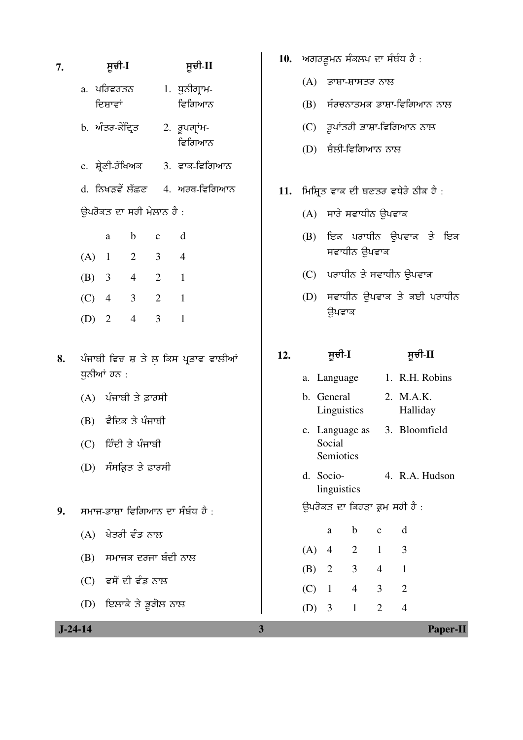| 7. |                          | ਸੂਚੀ-I                  |                         |                          | ਸੂਚੀ-II                               | 10. | ਅਗਰ,                                  |
|----|--------------------------|-------------------------|-------------------------|--------------------------|---------------------------------------|-----|---------------------------------------|
|    |                          |                         | a. ਪਰਿਵਰਤਨ              |                          | 1. ਧੁਨੀਗ੍ਰਾਮ-                         |     | (A)                                   |
|    |                          | ਦਿਸ਼ਾਵਾਂ                |                         |                          | ਵਿਗਿਆਨ                                |     | (B)                                   |
|    |                          |                         | b. <i>ਅੰਤਰ-ਕੇਂਦ੍ਰਿਤ</i> |                          | 2. ਰੂਪਗ੍ਰਾਂਮ-<br>ਵਿਗਿਆਨ               |     | (C)<br>(D)                            |
|    |                          |                         |                         |                          | c. ਸ਼੍ਰੇਣੀ-ਰੱਖਿਅਕ 3. ਵਾਕ-ਵਿਗਿਆਨ       |     |                                       |
|    |                          |                         |                         |                          | d. ਨਿਖੜਵੇਂ ਲੱਛਣ 4. ਅਰਥ-ਵਿਗਿਆਨ         | 11. | ਮਿਸ਼੍ਰਿਤ                              |
|    | ਉਪਰੋਕਤ ਦਾ ਸਹੀ ਮੇਲਾਨ ਹੈ : |                         |                         |                          |                                       |     | (A)                                   |
|    |                          | $\rm{a}$                | $\mathbf b$             | $\mathbf{C}$             | $\mathbf d$                           |     | (B)                                   |
|    | $(A)$ 1                  |                         |                         | $2 \quad 3$              | $\overline{4}$                        |     |                                       |
|    |                          | (B) 3 4                 |                         | $\overline{\phantom{a}}$ | $\overline{\phantom{0}}$ 1            |     | (C)                                   |
|    | $(C)$ 4                  |                         | $3\qquad 2$             |                          | $\mathbf{1}$                          |     | (D)                                   |
|    |                          | $(D)$ 2                 | $\overline{4}$          | $\overline{3}$           | $\mathbf{1}$                          |     |                                       |
| 8. |                          | ਧੁਨੀਆਂ ਹਨ :             |                         |                          | ਪੰਜਾਬੀ ਵਿਚ ਸ਼ ਤੇ ਲ਼ ਕਿਸ ਪ੍ਰਭਾਵ ਵਾਲੀਆਂ | 12. | a. L                                  |
|    |                          | (A) ਪੰਜਾਬੀ ਤੇ ਫ਼ਾਰਸੀ    |                         |                          |                                       |     | b. G<br>L                             |
|    |                          | (B) ਵੈਦਿਕ ਤੇ ਪੰਜਾਬੀ     |                         |                          |                                       |     | c. L                                  |
|    |                          | (C) ਹਿੰਦੀ ਤੇ ਪੰਜਾਬੀ     |                         |                          |                                       |     | S <sub>0</sub><br>S <sub>0</sub>      |
|    |                          |                         | (D) ਸੰਸਕ੍ਰਿਤ ਤੇ ਫ਼ਾਰਸੀ  |                          |                                       |     | d. S <sub>0</sub><br>$\overline{\ln}$ |
| 9. |                          |                         |                         |                          | ਸਮਾਜ-ਭਾਸ਼ਾ ਵਿਗਿਆਨ ਦਾ ਸੰਬੰਧ ਹੈ :       |     | ਉਪਰੋਕ                                 |
|    |                          |                         | $(A)$ ਖੇਤਰੀ ਵੰਡ ਨਾਲ     |                          |                                       |     |                                       |
|    |                          | (B) ਸਮਾਜਕ ਦਰਜਾ ਬੰਦੀ ਨਾਲ |                         |                          |                                       | (A) |                                       |
|    |                          | $(C)$ ਵਸੋਂ ਦੀ ਵੰਡ ਨਾਲ   |                         |                          |                                       |     | (B)                                   |
|    |                          | (D) ਇਲਾਕੇ ਤੇ ਭੂਗੋਲ ਨਾਲ  |                         |                          |                                       |     | (C)                                   |
|    |                          |                         |                         |                          |                                       |     | (D)                                   |

- .<br>ਭੂਮਨ ਸੰਕਲਪ ਦਾ ਸੰਬੰਧ ਹੈ : ਭਾਸ਼ਾ-ਸ਼ਾਸਤਰ ਨਾਲ <u>ਸੰਰਚਨਾਤਮਕ ਭਾਸ਼ਾ-ਵਿਗਿਆਨ ਨਾਲ</u> ਰੂਪਾਂਤਰੀ ਭਾਸ਼ਾ-ਵਿਗਿਆਨ ਨਾਲ
	- ਸ਼ੈਲੀ-ਵਿਗਿਆਨ ਨਾਲ
- ।<br>5 ਵਾਕ ਦੀ ਬਣਤਰ ਵਧੇਰੇ ਠੀਕ ਹੈ :
	- ਸਾਰੇ ਸਵਾਧੀਨ ਉਪਵਾਕ
	- ਇਕ ਪਰਾਧੀਨ ਉਪਵਾਕ ਤੇ ਇਕ ਸਵਾਧੀਨ ਉਪਵਾਕ
	- ਪਰਾਧੀਨ ਤੇ ਸਵਾਧੀਨ ਉਪਵਾਕ
	- ਸਵਾਧੀਨ ਉਪਵਾਕ ਤੇ ਕਈ ਪਰਾਧੀਨ ਉਪਵਾਕ

# **12.** ÓÞ°Û-**I** ÓÞ°Û-**II**

- anguage  $1.$  R.H. Robins
- ieneral inguistics 2. M.A.K. Halliday
- anguage as ocial emiotics 3. Bloomfield
- ocionguistics 4. R.A. Hudson

 $\overline{\mathbf{x}}$ ਤ ਦਾ ਕਿਹੜਾ ਕ੍ਰਮ ਸਹੀ ਹੈ :

|     | a                          | b | $\mathbf c$ | d |
|-----|----------------------------|---|-------------|---|
| (A) | $\overline{4}$             | 2 | 1           | 3 |
| (B) | $\overline{\phantom{0}}^2$ | 3 | 4           |   |
| (C) | $\overline{1}$             | 4 | 3           | 2 |
| (D) | $\overline{\mathbf{3}}$    | 1 | 2           |   |

 **J-24-14 3 Paper-II**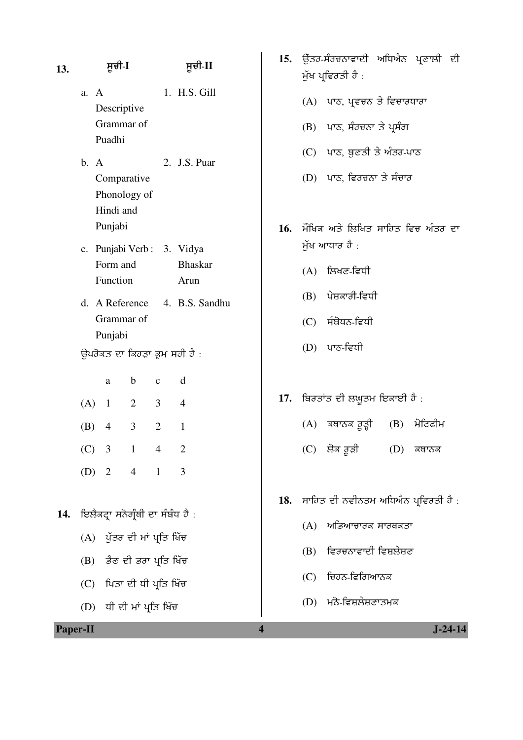| 13. | ਸੂਚੀ-I                                                      | ਸੂਚੀ-II                                              | 15.                     | ਉੱਤਰ-ਸੰਰਚਨਾਵਾਦੀ ਅਧਿਐਨ ਪ੍ਰਣਾਲੀ ਦੀ<br>ਮੁੱਖ ਪ੍ਰਵਿਰਤੀ ਹੈ :                                      |  |  |
|-----|-------------------------------------------------------------|------------------------------------------------------|-------------------------|---------------------------------------------------------------------------------------------|--|--|
|     | A<br>a.<br>Descriptive<br>Grammar of<br>Puadhi              | 1. H.S. Gill                                         |                         | (A) ਪਾਠ, ਪ੍ਰਵਚਨ ਤੇ ਵਿਚਾਰਧਾਰਾ<br>(B) ਪਾਠ, ਸੰਰਚਨਾ ਤੇ ਪ੍ਰਸੰਗ                                   |  |  |
|     | b. A<br>Comparative<br>Phonology of<br>Hindi and<br>Punjabi | 2. J.S. Puar                                         | 16.                     | (C) ਪਾਠ, ਬੁਣਤੀ ਤੇ ਅੰਤਰ-ਪਾਠ<br>(D) ਪਾਠ, ਵਿਰਚਨਾ ਤੇ ਸੰਚਾਰ<br>ਮੌਖਿਕ ਅਤੇ ਲਿਖਿਤ ਸਾਹਿਤ ਵਿਚ ਅੰਤਰ ਦਾ |  |  |
|     | c. Punjabi Verb: 3. Vidya<br>Form and                       | <b>Bhaskar</b>                                       |                         | ਮੁੱਖ ਆਧਾਰ ਹੈ :<br>$(A)$ ਲਿਖਣ-ਵਿਧੀ                                                           |  |  |
|     | Function<br>d. A Reference                                  | Arun<br>4. B.S. Sandhu                               |                         | ਪੇਸ਼ਕਾਰੀ-ਵਿਧੀ<br>(B)                                                                        |  |  |
|     | Grammar of                                                  |                                                      |                         | ਸੰਬੋਧਨ-ਵਿਧੀ<br>(C)                                                                          |  |  |
|     | Punjabi<br>ਉਪਰੋਕਤ ਦਾ ਕਿਹੜਾ ਕ੍ਰਮ ਸਹੀ ਹੈ :                    |                                                      |                         | ਪਾਠ-ਵਿਧੀ<br>(D)                                                                             |  |  |
|     | $\mathbf b$<br>a<br>$\overline{2}$<br>(A) 1                 | d<br>$\mathbf c$<br>$\overline{3}$<br>$\overline{4}$ | 17.                     | ਬਿਰਤਾਂਤ ਦੀ ਲਘੁਤਮ ਇਕਾਈ ਹੈ :                                                                  |  |  |
|     | 3<br>(B)<br>4                                               | $\overline{2}$<br>$\mathbf{1}$                       |                         | ਕਥਾਨਕ ਰੂੜ੍ਹੀ<br>(B)<br>ਮੋਟਿਫੀਮ<br>(A)                                                       |  |  |
|     | $(C)$ 3<br>$1 \quad 4$                                      | $\overline{2}$                                       |                         | (C) ਲੋਕ ਰੂੜੀ<br>(D)<br>ਕਥਾਨਕ                                                                |  |  |
|     | (D) 2 4 1                                                   | 3                                                    |                         |                                                                                             |  |  |
| 14. | ਇਲੈਕਟ੍ਰਾ ਸਨੋਗ੍ਰੰਥੀ ਦਾ ਸੰਬੰਧ ਹੈ :                            |                                                      |                         | 18. ਸਾਹਿਤ ਦੀ ਨਵੀਨਤਮ ਅਧਿਐਨ ਪ੍ਰਵਿਰਤੀ ਹੈ :                                                     |  |  |
|     | (A) ਪੁੱਤਰ ਦੀ ਮਾਂ ਪ੍ਰਤਿ ਖਿੱਚ                                 |                                                      |                         | ਅਭਿਆਚਾਰਕ ਸਾਰਥਕਤਾ<br>(A)                                                                     |  |  |
|     | (B) ਭੈਣ ਦੀ ਭਰਾ ਪ੍ਰਤਿ ਖਿੱਚ                                   |                                                      |                         | ਵਿਰਚਨਾਵਾਦੀ ਵਿਸ਼ਲੇਸ਼ਣ<br>(B)                                                                 |  |  |
|     | (C) ਪਿਤਾ ਦੀ ਧੀ ਪ੍ਰਤਿ ਖਿੱਚ                                   |                                                      |                         | ਚਿਹਨ-ਵਿਗਿਆਨਕ<br>(C)                                                                         |  |  |
|     | (D) ਧੀ ਦੀ ਮਾਂ ਪ੍ਰਤਿ ਖਿੱਚ                                    |                                                      |                         | ਮਨੋ-ਵਿਸ਼ਲੇਸ਼ਣਾਤਮਕ<br>(D)                                                                    |  |  |
|     | Paper-II                                                    |                                                      | $\overline{\mathbf{4}}$ | $J - 24 - 14$                                                                               |  |  |

- 15. ਉੱਤਰ-ਸੰਰਚਨਾਵਾਦੀ ਅਧਿਐਨ ਪ੍ਰਣਾਲੀ ਦੀ  $\check{y}$ ਖ ਪ੍ਰਵਿਰਤੀ ਹੈ :
	- (A) ਪਾਠ, ਪ੍ਰਵਚਨ ਤੇ ਵਿਚਾਰਧਾਰਾ
	- $(B)$  ਪਾਠ, ਸੰਰਚਨਾ ਤੇ ਪ੍ਰਸੰਗ
	- $(C)$  ਪਾਠ, ਥੁਣਤੀ ਤੇ ਅੰਤਰ-ਪਾਠ
	- $(D)$  ਪਾਠ, ਵਿਰਚਨਾ ਤੇ ਸੰਚਾਰ
- **6.** ਮੌਖਿਕ ਅਤੇ ਲਿਖਿਤ ਸਾਹਿਤ ਵਿਚ ਅੰਤਰ ਦਾ ਮੁੱਖ ਆਧਾਰ ਹੈ :
	- $(A)$  ਲਿਖਣ-ਵਿਧੀ
	- $(B)$  ਪੇਸ਼ਕਾਰੀ-ਵਿਧੀ
	- $(C)$  ਸੰਬੋਧਨ-ਵਿਧੀ
	- (D) ਪਾਠ-ਵਿਧੀ
- <mark>7. ਬਿਰਤਾਂਤ ਦੀ ਲਘੁਤਮ ਇਕਾਈ ਹੈ</mark> :
	- (A) ਕਥਾਨਕ ਰੂੜ੍ਹੀ  $(B)$  ਮੋਟਿਫੀਮ
	- $(C)$  ਲੋਕ ਰੁੜੀ  $(D)$  ਕਥਾਨਕ
- **8. ਸਾ**ਹਿਤ ਦੀ ਨਵੀਨਤਮ ਅਧਿਐਨ ਪ੍ਰਵਿਰਤੀ ਹੈ :
	- $(A)$  ਅਭਿਆਚਾਰਕ ਸਾਰਥਕਤਾ
	- $(B)$  ਵਿਰਚਨਾਵਾਦੀ ਵਿਸ਼ਲੇਸ਼ਣ
	- $(C)$  ਚਿਹਨ-ਵਿਗਿਆਨਕ
	- $(D)$ ਮਨੋ-ਵਿਸ਼ਲੇਸ਼ਣਾਤਮਕ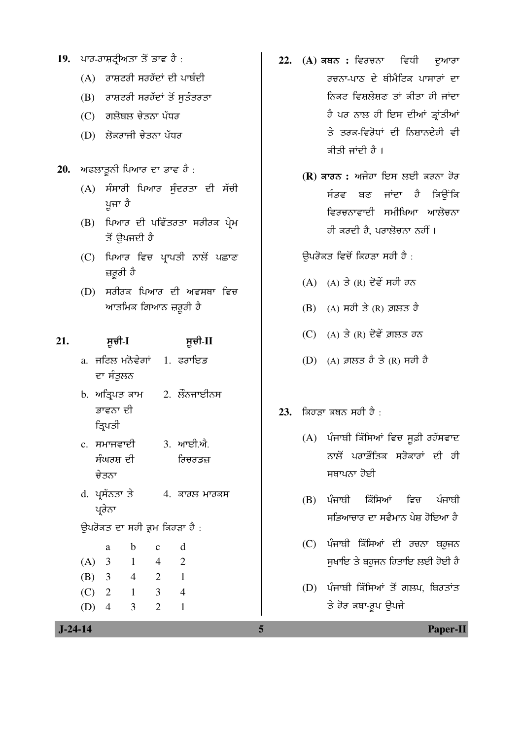- 19. ਪਾਰ-ਰਾਸ਼ਟ੍ਰੀਅਤਾ ਤੋਂ ਭਾਵ ਹੈ :
	- $(A)$  ਰਾਸ਼ਟਰੀ ਸਰਹੱਦਾਂ ਦੀ ਪਾਬੰਦੀ
	- $(B)$  ਰਾਸ਼ਟਰੀ ਸਰਹੱਦਾਂ ਤੋਂ ਸੁਤੰਤਰਤਾ
	- (C) ਗਲੋਬਲ ਚੇਤਨਾ ਪੱਧਰ
	- $(D)$  ਲੋਕਰਾਜੀ ਚੇਤਨਾ ਪੱਧਰ
- 20. **ਅਫਲਾਤੁਨੀ ਪਿਆਰ ਦਾ ਭਾਵ** ਹੈ :
	- $(A)$  ਸੰਸਾਰੀ ਪਿਆਰ ਸੰਦਰਤਾ ਦੀ ਸੱਚੀ ਪੂਜਾ ਹੈ
	- (B) ਪਿਆਰ ਦੀ ਪਵਿੱਤਰਤਾ ਸਰੀਰਕ ਪੇਮ ਤੋਂ ੳਪਜਦੀ ਹੈ
	- (C) ਪਿਆਰ ਵਿਚ ਪ੍ਰਾਪਤੀ ਨਾਲੋਂ ਪਛਾਣ ਜ਼ਰੂਰੀ ਹੈ
	- (D) ਸਰੀਰਕ ਪਿਆਰ ਦੀ ਅਵਸਥਾ ਵਿਚ <u>ਆਤਮਿਕ ਗਿਆਨ ਜ਼ਰੂਰੀ ਹੈ</u>

#### **21.** ÓÞ°Û-**I** ÓÞ°Û-**II**

- a. ਜਟਿਲ ਮਨੋਵੇਗਾਂ ਦਾ ਸੰਤੁਲਨ  $1.$  ਫਰਾਇਡ
- b. ਅਤਿਪਤ ਕਾਮ ਭਾਵਨਾ ਦੀ ੜਿਪਤੀ  $2.$  ਲੌਨਜਾਈਨਸ
- c. ਸਮਾਜਵਾਦੀ ਸੰਘਰਸ ਦੀ ਚੇਤਨਾ 3. ਆਈ.ਐ. ਿਚਰਡਜ
- d. ਪਸੱਨਤਾ ਤੇ ਪ੍ਰਰੇਨਾ  $4.$  ਕਾਰਲ ਮਾਰਕਸ

ਉਪਰੋਕਤ ਦਾ ਸਹੀ ਕ੍ਰਮ ਕਿਹੜਾ ਹੈ :

- a b c d (A) 3 1 4 2 (B) 3 4 2 1
	- (C) 2 1 3 4
	- (D) 4 3 2 1
- 22. (A) ਕਥਨ : ਵਿਰਚਨਾ ਵਿਧੀ ਦੁਆਰਾ ੂਰਚਨਾ-ਪਾਠ ਦੇ ਥੀਮੈਟਿਕ ਪਾਸਾਰਾਂ *ਦਾ* <u>ਨਿਕਟ ਵਿਸ਼ਲੇਸ਼ਣ ਤਾਂ ਕੀਤਾ ਹੀ ਜਾਂਦਾ</u> ਹੈ ਪਰ ਨਾਲ ਹੀ ਇਸ ਦੀਆਂ ਭਾਂਤੀਆਂ <u>ਤੇ ਤਰਕ-ਵਿਰੋਧਾਂ ਦੀ ਨਿਸ਼ਾਨਦੇਹੀ ਵੀ</u> ਕੀਤੀ ਜਾਂਦੀ ਹੈ ।
	- **(R)** ਕਾਰਨ : ਅਜੇਹਾ ਇਸ ਲਈ ਕਰਨਾ ਹੋਰ ਸੰਭਵ ਬਣ ਜਾਂਦਾ ਹੈ ਕਿਉਂਕਿ ਵਿਰਚਨਾਵਾਦੀ ਸਮੀਖਿਆ ਆਲੋਚਨ<u>ਾ</u> ਹੀ ਕਰਦੀ ਹੈ। ਪਰਾਲੋਚਨਾ ਨਹੀਂ ।

ਉਪਰੋਕਤ ਵਿਚੋਂ ਕਿਹੜਾ ਸਹੀ ਹੈ :

- $(A)$   $(A)$   $\exists$   $(R)$  ਦੋਵੇਂ ਸਹੀ ਹਨ
- $(B)$  (A) ਸਹੀ ਤੇ (R) ਗ਼ਲਤ ਹੈ
- $(C)$   $(A)$  ਤੇ  $(R)$  ਦੋਵੇਂ ਗ਼ਲਤ ਹਨ
- $(D)$   $(A)$  ਗ਼ਲਤ ਹੈ ਤੇ  $(R)$  ਸਹੀ ਹੈ

#### **23. ਕਿਹਤਾ ਕਥਨ ਸਹੀ ਹੈ** :

- $(A)$  ਪੰਜਾਬੀ ਕਿੱਸਿਆਂ ਵਿਚ ਸੁਫ਼ੀ ਰਹੱਸਵਾਦ ਨਾਲੋਂ ਪਰਾਭੌਤਿਕ ਸਰੋਕਾਰਾਂ ਦੀ ਹੀ ਸਥਾਪਨਾ ਹੋਈ
- $(B)$  ਪੰਜਾਬੀ ਕਿੱਸਿਆਂ ਵਿਚ ਪੰਜਾਬੀ <u>ਸਭਿਆਚਾਰ ਦਾ ਸਵੈਮਾਨ ਪੇਸ਼ ਹੋਇਆ ਹੈ</u>
- (C) ਪੰਜਾਬੀ ਕਿੱਸਿਆਂ ਦੀ ਰਚਨਾ ਬਹਜਨ <u>ਸੁਖਾਇ ਤੇ ਬਹੁਜਨ ਹਿਤਾਇ ਲਈ ਹੋਈ ਹੈ</u>
- (D) ਪੰਜਾਬੀ ਕਿੱਸਿਆਂ ਤੋਂ ਗਲਪ, ਬਿਰਤਾਂਤ ਤੇ ਹੋਰ ਕਥਾ-ਰੂਪ ਉਪਜੇ

 **J-24-14 5 Paper-II**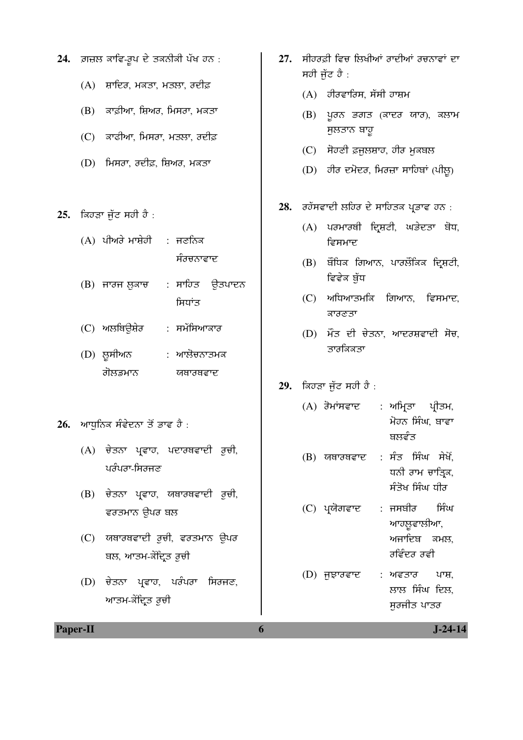- 24. ਗ਼ਜ਼ਲ ਕਾਵਿ-ਰੁਪ ਦੇ ਤਕਨੀਕੀ ਪੱਖ ਹਨ :
	- $(A)$  ਸ਼ਾਦਿਰ, ਮਕਤਾ, ਮਤਲਾ, ਰਦੀਫ਼
	- $(B)$  ਕਾਫ਼ੀਆ, ਸ਼ਿਅਰ, ਮਿਸਰਾ, ਮਕਤਾ
	- (C) ਕਾਫੀਆ, ਮਿਸਰਾ, ਮਤਲਾ, ਰਦੀਫ਼
	- $(D)$  ਮਿਸਰਾ, ਰਦੀਫ਼, ਸ਼ਿਅਰ, ਮਕਤਾ
- 25. ਕਿਹੜਾ ਜੁੱਟ ਸਹੀ ਹੈ :
	- $(A)$  ਪੀਅਰੇ ਮਾਸ਼ੇਹੀ : ਜਣਨਿਕ ਸੰਰਚਨਾਵਾਦ
	- $(B)$  ਜਾਰਜ ਲੁਕਾਚ : ਸਾਹਿਤ ਉਤਪਾਦਨ ਸ਼ਿਧਾਂਤ
	- (C) ਅਲਥਿਊਸ਼ੇਰ : ਸਮੱਸਿਆਕਾਰ
	- (D) ਲੁਸੀਅਨ ਗੋਲਡਮਾਨ : ਆਲੋਚਨਾਤਮਕ ਯਥਾਰਥਵਾਦ
- 26. **ਆਧੁਨਿਕ ਸੰਵੇਦਨਾ ਤੋਂ ਭਾਵ** ਹੈ :
	- (A) ਚੇਤਨਾ ਪ੍ਰਵਾਹ, ਪਦਾਰਥਵਾਦੀ ਰੂਚੀ,  $u$ ਰੰਪਰਾ-ਸਿਰਜੁਣ
	- (B) ਚੇਤਨਾ ਪ੍ਰਵਾਹ, ਯਥਾਰਥਵਾਦੀ ਰੁਚੀ, ਵਰਤਮਾਨ ਉਪਰ ਬਲ
	- (C) ਯਥਾਰਥਵਾਦੀ ਰੂਚੀ, ਵਰਤਮਾਨ ਉਪਰ ਬਲ, ਆਤਮ-ਕੇਂਦ੍ਰਿਤ ਰੁਚੀ
	- $(D)$  ਚੇਤਨਾ ਪ੍ਰਵਾਹ, ਪਰੰਪਰਾ ਸਿਰਜਣ, ਆਤਮ-ਕੇਂਦ੍ਰਿਤ ਰੂਚੀ
- 27. ਸੀਹਰਫ਼ੀ ਵਿਚ ਲਿਖੀਆਂ ਰਾਦੀਆਂ ਰਚਨਾਵਾਂ ਦਾ ਸਹੀ ਜੁੱਟ ਹੈ :
	- $(A)$  ਹੀਰਵਾਰਿਸ, ਸੱਸੀ ਹਾਸ਼ਮ
	- $(B)$  ਪੂਰਨ ਭਗਤ (ਕਾਦਰ ਯਾਰ), ਕਲਾਮ ਸਲਤਾਨ ਬਾਹੁ
	- $(C)$  ਸੋਹਣੀ ਫ਼ਜਲਸ਼ਾਹ, ਹੀਰ ਮੁਕਬਲ
	- $(D)$  ਹੀਰ ਦਮੋਦਰ, ਮਿਰਜ਼ਾ ਸਾਹਿਬਾਂ (ਪੀਲੂ)
- 28. **J**ook and Book and the process of the solid the set of the  $\alpha$ 
	- (A) ਪਰਮਾਰਥੀ ਦ੍ਰਿਸ਼ਟੀ, ਘਭੇਦਤਾ ਬੋਧ, ਵਿਸਮਾਦ
	- $(B)$  ਬੌਧਿਕ ਗਿਆਨ, ਪਾਰਲੌਕਿਕ ਦ੍ਰਿਸ਼ਟੀ, ਵਿਵੇਕ ਬੁੱਧ
	- $(C)$  ਅਧਿਆਤਮਕਿ ਗਿਆਨ, ਵਿਸਮਾਦ, ਕਾਰਣਤਾ
	- $(D)$  ਮੌਤ ਦੀ ਚੇਤਨਾ, ਆਦਰਸ਼ਵਾਦੀ ਸੋਚ, ਤਾਰਕਿਕਤਾ
- 29. **ਕਿਹੜਾ ਜੁੱਟ ਸਹੀ ਹੈ** :
	- $(A)$  ਰੋਮਾਂਸਵਾਦ : ਅਮ੍ਰਿਤਾ ਪ੍ਰੀਤਮ, ਮੋਹਨ ਸਿੰਘ, ਬਾਵਾ ਬਲਵੰਤ
	- $(B)$  ਯਥਾਰਥਵਾਦ : ਸੰਤ ਸਿੰਘ ਸੇਖੋਂ, ਧਨੀ ਰਾਮ ਚਾੜਿਕ, ਸੰਤੋਖ ਸਿੰਘ ਧੀਰ
	- $(C)$  ਪ੍ਰਯੋਗਵਾਦ : ਜਸਬੀਰ ਸਿੰਘ ਆਹਲੁਵਾਲੀਆ, ਅਜਾਦਿਬ ਕਮਲ<u>,</u> <u>ਰਵਿੰਦਰ ਰਵੀ</u>
	- $(D)$  ਜੁਝਾਰਵਾਦ : ਅਵਤਾਰ ਪਾਸ਼, ਲਾਲ ਸਿੰਘ ਦਿਲ, ਸੁਰਜੀਤ ਪਾਤਰ

**Paper-II 6** J-24-14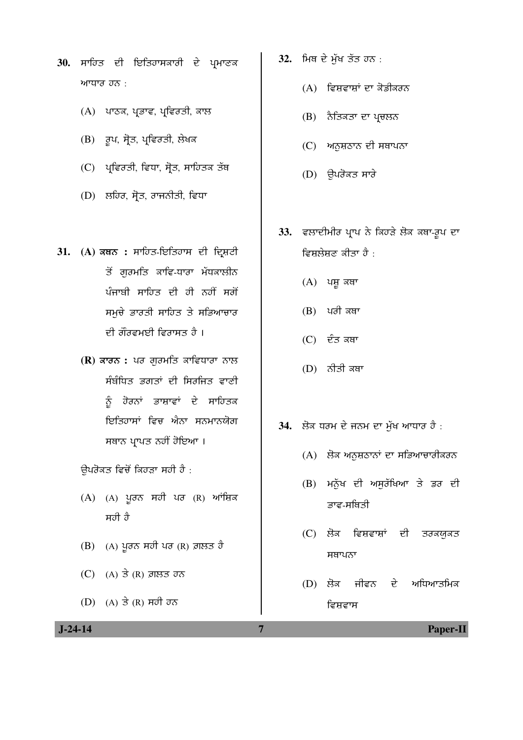- 30. ਸਾਹਿਤ ਦੀ ਇਤਿਹਾਸਕਾਰੀ ਦੇ ਪ੍ਰਮਾਣਕ  $w$ ਧਾਰ ਹਨ:
	- $(A)$  ਪਾਠਕ, ਪ੍ਰਭਾਵ, ਪ੍ਰਵਿਰਤੀ, ਕਾਲ
	- $(B)$  ਰੂਪ, ਸ੍ਰੋਤ, ਪ੍ਰਵਿਰਤੀ, ਲੇਖਕ
	- $(C)$  ਪ੍ਰਵਿਰਤੀ, ਵਿਧਾ, ਸ੍ਰੋਤ, ਸਾਹਿਤਕ ਤੱਥ
	- (D) ਲਹਿਰ, ਸ੍ਰੋਤ, ਰਾਜਨੀਤੀ, ਵਿਧਾ
- 31. (A) ਕਥਨ : ਸਾਹਿਤ-ਇਤਿਹਾਸ ਦੀ ਦ੍ਰਿਸ਼ਟੀ ਤੋਂ ਗੁਰਮਤਿ ਕਾਵਿ-ਧਾਰਾ ਮੱਧਕਾਲੀਨ ਪੰਜਾਬੀ ਸਾਹਿਤ ਦੀ ਹੀ ਨਹੀਂ ਸਗੋਂ ਸਮੁਚੇ ਭਾਰਤੀ ਸਾਹਿਤ ਤੇ ਸਭਿਆਚਾਰ ਦੀ ਗੌਰਵਮਈ ਵਿਰਾਸਤ ਹੈ ।
	- **(R)** ਕਾਰਨ : ਪਰ ਗਰਮਤਿ ਕਾਵਿਧਾਰਾ ਨਾਲ ਸੰਬੰਧਿਤ ਭਗਤਾਂ ਦੀ ਸਿਰਜਿਤ ਵਾ<u>ਣੀ</u> ਨੰ ਹੋਰਨਾਂ ਭਾਸ਼ਾਵਾਂ ਦੇ ਸਾਹਿਤਕ ਇਤਿਹਾਸਾਂ ਵਿਚ ਐਨਾ ਸਨਮਾਨਯੋਗ ਸਥਾਨ ਪ੍ਰਾਪਤ ਨਹੀਂ ਹੋਇਆ ।

ਉਪਰੋਕਤ ਵਿਚੋਂ ਕਿਹੜਾ ਸਹੀ ਹੈ :

- $(A)$   $(A)$  ਪੁਰਨ ਸਹੀ ਪਰ  $(R)$  ਆਂਸ਼ਿਕ ਸਹੀ ਹੈ
- $(B)$  (A) ਪੁਰਨ ਸਹੀ ਪਰ  $(R)$  ਗ਼ਲਤ ਹੈ
- $(C)$   $(A)$  ਤੇ  $(R)$  ਗ਼ਲਤ ਹਨ
- $(D)$   $(A)$   $\overrightarrow{3}$   $(R)$   $\overrightarrow{H}$  $\overrightarrow{0}$   $\overrightarrow{0}$
- 32. ਮਿਥ ਦੇ ਮੁੱਖ ਤੱਤ ਹਨ :
	- $(A)$  ਵਿਸ਼ਵਾਸ਼ਾਂ ਦਾ ਕੋਡੀਕਰਨ
	- (B) ਨੈਤਿਕਤਾ ਦਾ ਪ੍ਰਚਲਨ
	- (C) ਅਨਸ਼ਠਾਨ ਦੀ ਸਥਾਪਨਾ
	- $(D)$  ਉਪਰੋਕਤ ਸਾਰੇ
- 33. ਵਲਾਦੀਮੀਰ ਪ੍ਰਾਪ ਨੇ ਕਿਹੜੇ ਲੋਕ ਕਥਾ-ਰੂਪ ਦਾ ਵਿਸ਼ਲੇਸ਼ਣ ਕੀਤਾ ਹੈ :
	- $(A)$  ਪਸ਼ੁ ਕਥਾ
	- $(B)$  ਪੂਰੀ ਕਥਾ
	- $(C)$  ਦੰਤ ਕਥਾ
	- $(D)$  ਨੀਤੀ ਕਥਾ
- 34. ਲੋਕ ਧਰਮ ਦੇ ਜਨਮ ਦਾ ਮੁੱਖ ਆਧਾਰ ਹੈ :
	- $(A)$  ਲੋਕ ਅਨੁਸ਼ਠਾਨਾਂ ਦਾ ਸਭਿਆਚਾਰੀਕਰਨ
	- (B) ਮਨੁੱਖ ਦੀ ਅਸੁਰੱਖਿਆ ਤੇ ਡਰ ਦੀ ਭਾਵ-ਸਥਿਤੀ
	- (C) ਲੋਕ ਵਿਸ਼ਵਾਸ਼ਾਂ ਦੀ ਤਰਕਯੁਕਤ ਸਥਾਪਨਾ
	- $(D)$  ਲੋਕ ਜੀਵਨ ਦੇ ਅਧਿਆਤਮਿਕ ਵਿਸ਼ਵਾਸ

 **J-24-14 7 Paper-II**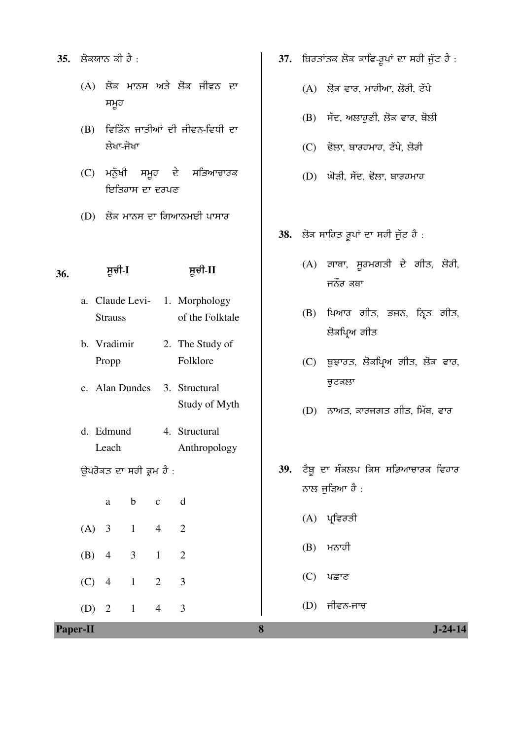- **35.** ਲੋਕਯਾਨ ਕੀ ਹੈ :
	- (A) ਲੋਕ ਮਾਨਸ ਅਤੇ ਲੋਕ ਜੀਵਨ ਦਾ ਸਮੂਹ
	- $(B)$  ਵਿਭਿੱਨ ਜਾਤੀਆਂ ਦੀ ਜੀਵਨ-ਵਿਧੀ ਦਾ ਲੇਖਾ-ਜੋਖਾ
	- $(C)$  ਮਨੁੱਖੀ ਸਮੂਹ ਦੇ ਸਭਿਆਚਾਰਕ ਇਤਿਹਾਸ ਦਾ ਦਰਪਣ
	- $(D)$  ਲੋਕ ਮਾਨਸ ਦਾ ਗਿਆਨਮਈ ਪਾਸਾਰ

## **36.** ÓÞ°Û-**I** ÓÞ°Û-**II**

- a. Claude Levi-**Strauss** 1. Morphology of the Folktale
- b. Vradimir Propp 2. The Study of Folklore
- c. Alan Dundes 3. Structural Study of Myth
- d. Edmund Leach 4. Structural Anthropology
- ਉਪਰੋਕਤ ਦਾ ਸਹੀ ਕ੍ਰਮ ਹੈ :
- a b c d (A) 3 1 4 2 (B) 4 3 1 2 (C) 4 1 2 3

(D) 2 1 4 3

- 37. ਬਿਰਤਾਂਤਕ ਲੋਕ ਕਾਵਿ-ਰੁਪਾਂ ਦਾ ਸਹੀ ਜੁੱਟ ਹੈ :
	- $(A)$  ਲੋਕ ਵਾਰ, ਮਾਹੀਆ, ਲੋਰੀ, ਟੱਪੇ
	- $(B)$  ਸੱਦ, ਅਲਾਹਣੀ, ਲੋਕ ਵਾਰ, ਬੋਲੀ
	- (C) ਢੋਲਾ, ਬਾਰਹਮਾਹ, ਟੱਪੇ, ਲੋਰੀ
	- (D) ਘੋੜੀ, ਸੱਦ, ਢੋਲਾ, ਬਾਰਹਮਾਹ
- 38. ਲੋਕ ਸਾਹਿਤ ਰੂਪਾਂ ਦਾ ਸਹੀ ਜੁੱਟ ਹੈ :
	- $(A)$  ਗਾਥਾ, ਸੁਰਮਗਤੀ ਦੇ ਗੀਤ, ਲੋਰੀ, ਜਨੌਰ ਕਥਾ
	- $(B)$  ਪਿਆਰ ਗੀਤ, ਭਜਨ, ਨ੍ਰਿਤ ਗੀਤ, ਲੋਕਪ੍ਰਿਅ ਗੀਤ
	- (C) ਥੁਝਾਰਤ, ਲੋਕਪ੍ਰਿਅ ਗੀਤ, ਲੋਕ ਵਾਰ, ਚਟਕਲਾ
	- $(D)$  ਨਾਅਤ, ਕਾਰਜਗਤ ਗੀਤ, ਮਿੱਥ, ਵਾਰ
- 39. ਟੈਬ ਦਾ ਸੰਕਲਪ ਕਿਸ ਸਭਿਆਚਾਰਕ ਵਿਹਾਰ ਨਾਲ ਜੁੜਿਆ ਹੈ :
	- $(A)$  ਪ੍ਰਵਿਰਤੀ
	- $(B)$  ਮਨਾਹੀ
	- $(C)$  ਪਛਾਣ
	- $(D)$  ਜੀਵਨ-ਜਾਚ

**Paper-II 8 J-24-14**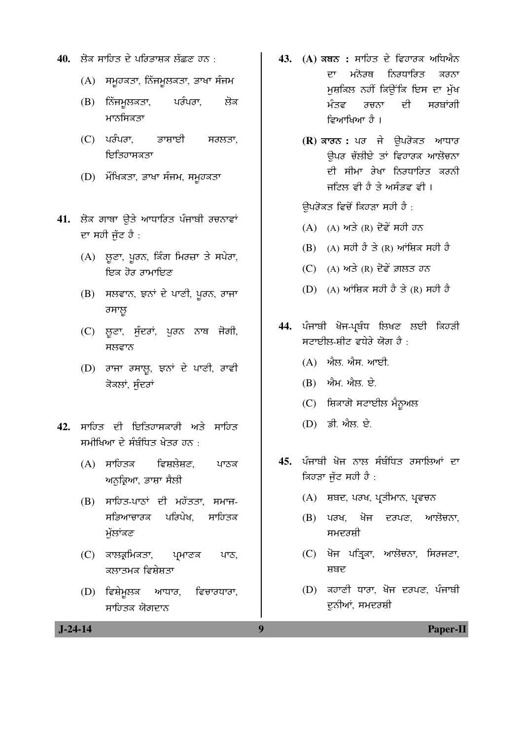- 40. ਲੋਕ ਸਾਹਿਤ ਦੇ ਪਰਿਭਾਸ਼ਕ ਲੱਛਣ ਹਨ :
	- (A) ਸਮੂਹਕਤਾ, ਨਿੱਜਮੂਲਕਤਾ, ਭਾਖਾ ਸੰਜਮ
	- (B) ਨਿੱਜਮੁਲਕਤਾ, ਪਰੰਪਰਾ, ਲੋਕ ਮਾਨਸਿਕਤਾ
	- $(C)$  ਪਰੰਪਰਾ, ਭਾਸ਼ਾਈ ਸਰਲਤਾ, ਇਤਿਹਾਸਕਤਾ
	- (D) ਮੌਖਿਕਤਾ, ਭਾਖਾ ਸੰਜਮ, ਸਮੁਹਕਤਾ
- 41. ਲੋਕ ਗਾਥਾ ੳਤੇ ਆਧਾਰਿਤ ਪੰਜਾਬੀ ਰਚਨਾਵਾਂ ਦਾ ਸਹੀ ਜੱਟ ਹੈ :
	- (A) ਲੁਣਾ, ਪੂਰਨ, ਕਿੰਗ ਮਿਰਜ਼ਾ ਤੇ ਸਪੇਰਾ, ਇਕ ਹੋਰ ਰਾਮਾਇਣ
	- $(B)$  ਸਲਵਾਨ, ਝਨਾਂ ਦੇ ਪਾਣੀ, ਪਰਨ, ਰਾਜਾ ਰਸਾਲ
	- (C) ਲੁਣਾ, ਸੁੰਦਰਾਂ, ਪੂਰਨ ਨਾਥ ਜੋਗੀ, ਸਲਵਾਨ
	- (D) ਰਾਜਾ ਰਸਾਲੂ, ਝਨਾਂ ਦੇ ਪਾਣੀ, ਰਾਵੀ ਕੋਕਲਾਂ, ਸੁੰਦਰਾਂ
- 42. ਸਾਹਿਤ ਦੀ ਇਤਿਹਾਸਕਾਰੀ ਅਤੇ ਸਾਹਿਤ ਸਮੀਖਿਆ ਦੇ ਸੰਬੰਧਿਤ ਖੇਤਰ ਹਨ  $\cdot$ 
	- (A) ਸਾਹਿਤਕ ਵਿਸ਼ਲੇਸ਼ਣ, ਪਾਠਕ <u>ਅਨਕਿਆ, ਭਾਸ਼ਾ ਸੈਲੀ</u>
	- (B) ਸਾਹਿਤ-ਪਾਠਾਂ ਦੀ ਮਹੱਤਤਾ, ਸਮਾਜ-ਸਭਿਆਚਾਰਕ ਪਰਿਪੇਖ, ਸਾਹਿਤਕ ਮੱਲਾਂਕਣ
	- (C) ਕਾਲਕ੍ਰਮਿਕਤਾ, ਪ੍ਰਮਾਣਕ ਪਾਠ, ਕਲਾਤਮਕ ਵਿਸ਼ੇਸ਼ਤਾ
	- $(D)$  ਵਿਸ਼ੇਮੁਲਕ ਆਧਾਰ, ਵਿਚਾਰਧਾਰਾ, ਸਾਹਿਤਕ ਯੋਗਦਾਨ
- 43. (A) ਕਥਨ : ਸਾਹਿਤ ਦੇ ਵਿਹਾਰਕ ਅਧਿਐਨ ਦਾ ਮਨੋਰਥ ਨਿਰਧਾਰਿਤ ਕਰਨਾ ਮੁਸ਼ਕਿਲ ਨਹੀਂ ਕਿਉਂਕਿ ਇਸ ਦਾ ਮੁੱਖ <u>ਮੰਤਵ ਰਚਨਾ ਦੀ ਸਰਬਾਂਗੀ</u> ਵਿਆਖਿਆ ਹੈ ।
	- **(R)** ਕਾਰਨ : ਪਰ ਜੇ ਉਪਰੋਕਤ ਆਧਾਰ ਉਪਰ ਚੱਲੀਏ ਤਾਂ ਵਿਹਾਰਕ ਆਲੋਚਨ<u>ਾ</u> ਦੀ ਸੀਮਾ ਰੇਖਾ ਨਿਰਧਾਰਿਤ ਕਰਨ<u>ੀ</u> ਜਟਿਲ ਵੀ ਹੈ ਤੇ ਅਸੰਭਵ ਵੀ ।

ਉਪਰੋਕਤ ਵਿਚੋਂ ਕਿਹੜਾ ਸਹੀ ਹੈ :

- $(A)$   $(A)$  ਅਤੇ  $(R)$  ਦੋਵੇਂ ਸਹੀ ਹਨ
- (B) (A) ਸਹੀ ਹੈ ਤੇ (R) ਆਂਸ਼ਿਕ ਸਹੀ ਹੈ
- $(C)$  (A) ਅਤੇ  $(R)$  ਦੋਵੇਂ ਗ਼ਲਤ ਹਨ
- $(D)$  (A) ਆਂਸ਼ਿਕ ਸਹੀ ਹੈ ਤੇ (R) ਸਹੀ ਹੈ
- 44. ਪੰਜਾਬੀ ਖੋਜ-ਪਬੰਧ ਲਿਖਣ ਲਈ ਕਿਹੜੀ ਸਟਾਈਲ-ਸ਼ੀਟ ਵਧੇਰੇ ਯੋਗ ਹੈ $\,$ :
	- (A) ਐਲ. ਐਸ. ਆਈ.
	- $(B)$   $n\hbar H$   $n\hbar g$   $\partial \overline{\partial}$ .
	- (C) ਸ਼ਿਕਾਗੋ ਸਟਾਈਲ ਮੈਨੂਅਲ
	- $(D)$   $\vec{a}$ ,  $\vec{v}$ ,  $\vec{b}$ ,  $\vec{c}$ .
- 45. ਪੰਜਾਬੀ ਖੋਜ ਨਾਲ ਸੰਬੰਧਿਤ ਰਸਾਲਿਆਂ ਦਾ ਕਿਹੜਾ ਜੁੱਟ ਸਹੀ ਹੈ :
	- $(A)$  ਸ਼ਬਦ, ਪਰਖ, ਪ੍ਰਤੀਮਾਨ, ਪ੍ਰਵਚਨ
	- $(B)$  ਪਰਖ, ਖੋਜ ਦਰਪਣ, ਆਲੋਚਨਾ, ਸਮਦਰਸ਼ੀ
	- $(C)$  ਖੋਜ ਪਤਿਕਾ, ਆਲੋਚਨਾ, ਸਿਰਜਣਾ, ਸ਼ਬਦ
	- $(D)$  ਕਹਾਣੀ ਧਾਰਾ, ਖੋਜ ਦਰਪਣ, ਪੰਜਾਬੀ ਦੁਨੀਆਂ, ਸਮਦਰਸ਼ੀ

 **J-24-14 9 Paper-II**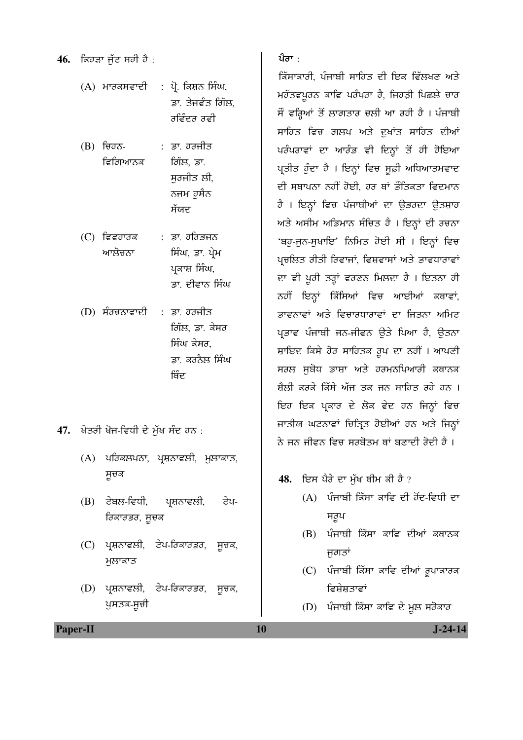**46.** ਕਿਹੜਾ ਜੁੱਟ ਸਹੀ ਹੈ :

- $(A)$  ਮਾਰਕਸਵਾਦੀ : ਪ੍ਰੋ. ਕਿਸ਼ਨ ਸਿੰਘ, ਡਾ. ਤੇਜਵੰਤ ਗਿੱਲ, ਰਵਿੰਦਰ ਰਵੀ
- $(B)$  ਚਿਹਨ-ਵਿਗਿਆਨਕ : ਡਾ. ਹਰਜੀਤ ਗਿੱਲ, ਡਾ. ਸਰਜੀਤ ਲੀ, ਨਜਮ ਹੁਸੈਨ ਸੱਯਦ
- $(C)$  ਵਿਵਹਾਰਕ ਆਲੋਚਨਾ : ਡਾ *ਹਰਿਭੁ*ਜਨ ਸਿੰਘ, ਡਾ. ਪੇਮ ਪਕਾਸ਼ ਸਿੰਘ, ਡਾ. ਦੀਵਾਨ ਸਿੰਘ
- $(D)$  ਸੰਰਚਨਾਵਾਦੀ : ਡਾ. ਹਰਜੀਤ ਗਿੱਲ, ਡਾ. ਕੇਸਰ ਸਿੰਘ ਕੇਸਰ, ਡਾ. ਕਰਨੈਲ ਸਿੰਘ ਬਿੰਦ
- 47. ਖੇਤਰੀ ਖੋਜ-ਵਿਧੀ ਦੇ ਮੁੱਖ ਸੰਦ ਹਨ :
	- $(A)$  ਪਰਿਕਲਪਨਾ, ਪ੍ਰਸ਼ਨਾਵਲੀ, ਮੁਲਾਕਾਤ,  $H$ ਚਕ
	- (B) ਟੇਬਲ-ਵਿਧੀ, ਪ੍ਰਸ਼ਨਾਵਲੀ, ਟੇਪ-*ਰਿਕਾਰਡਰ, ਸੂਚਕ*
	- (C) ਪ੍ਰਸ਼ਨਾਵਲੀ, ਟੇਪ-ਰਿਕਾਰਡਰ, ਸੂਚਕ, ਮੁਲਾਕਾਤ
	- (D) ਪ੍ਰਸ਼ਨਾਵਲੀ, ਟੇਪ-ਰਿਕਾਰਡਰ, ਸੂਚਕ, ਪੁਸਤਕ-ਸੂਚੀ

ਪੈਰਾ ·

ਕਿੱਸਾਕਾਰੀ, ਪੰਜਾਬੀ ਸਾਹਿਤ ਦੀ ਇਕ ਵਿੱਲਖਣ ਅਤੇ ਮਹੱਤਵਪੂਰਨ ਕਾਵਿ ਪਰੰਪਰਾ ਹੈ, ਜਿਹੜੀ ਪਿਛਲੇ ਚਾਰ ਸੌ ਵਰਿਆਂ ਤੋਂ ਲਾਗਤਾਰ ਚਲੀ ਆ ਰਹੀ ਹੈ । ਪੰਜਾਬੀ ਸਾਹਿਤ ਵਿਚ ਗਲਪ ਅਤੇ ਦੁਖਾਂਤ ਸਾਹਿਤ ਦੀਆਂ ਪਰੰਪਰਾਵਾਂ ਦਾ ਆਰੰਭ ਵੀ ਦਿਨਾਂ ਤੋਂ ਹੀ ਹੋਇਆ ਪ੍ਰਤੀਤ ਹੁੰਦਾ ਹੈ । ਇਨ੍ਹਾਂ ਵਿਚ ਸੁਫ਼ੀ ਅਧਿਆਤਮਵਾਦ ਦੀ ਸਥਾਪਨਾ ਨਹੀਂ ਹੋਈ, ਹਰ ਥਾਂ ਭੌਤਿਕਤਾ ਵਿਦਮਾਨ ਹੈ । ਇਨ੍ਹਾਂ ਵਿਚ ਪੰਜਾਬੀਆਂ ਦਾ ਉਡਰਦਾ ਉਤਸ਼ਾਹ ਅਤੇ ਅਸੀਮ ਅਭਿਮਾਨ ਸੰਚਿਤ ਹੈ। ਇਨ੍ਹਾਂ ਦੀ ਰਚਨਾ 'ਬਹੁ-ਜੂਨ-ਸੁਖਾਇ' ਨਿਮਿਤ ਹੋਈ ਸੀ । ਇਨ੍ਹਾਂ ਵਿਚ ਪ੍ਰਚਲਿਤ ਰੀਤੀ ਰਿਵਾਜਾਂ, ਵਿਸ਼ਵਾਸਾਂ ਅਤੇ ਭਾਵਧਾਰਾਵਾਂ ਦਾ ਵੀ ਪੂਰੀ ਤਰ੍ਹਾਂ ਵਰਣਨ ਮਿਲਦਾ ਹੈ । ਇਤਨਾ ਹੀ ਨਹੀਂ ਇਨ੍ਹਾਂ ਕਿੱਸਿਆਂ ਵਿਚ ਆਈਆਂ ਕਥਾਵਾਂ, ਭਾਵਨਾਵਾਂ ਅਤੇ ਵਿਚਾਰਧਾਰਾਵਾਂ ਦਾ ਜਿਤਨਾ ਅਮਿਟ ਪਭਾਵ ਪੰਜਾਬੀ ਜਨ-ਜੀਵਨ ਉਤੇ ਪਿਆ ਹੈ, ਉਤਨਾ ਸ਼ਾਇਦ ਕਿਸੇ ਹੋਰ ਸਾਹਿਤਕ ਰੂਪ ਦਾ ਨਹੀਂ । ਆਪਣੀ ਸਰਲ ਸੁਬੋਧ ਭਾਸ਼ਾ ਅਤੇ ਹਰਮਨਪਿਆਰੀ ਕਥਾਨਕ ਸ਼ੈਲੀ ਕਰਕੇ ਕਿੱਸੇ ਅੱਜ ਤਕ ਜਨ ਸਾਹਿਤ ਰਹੇ ਹਨ । ਇਹ ਇਕ ਪਕਾਰ ਦੇ ਲੋਕ ਵੇਦ ਹਨ ਜਿਨ੍ਹਾਂ ਵਿਚ ਜਾਤੀਯ ਘਟਨਾਵਾਂ ਚਿਤ੍ਰਿਤ ਹੋਈਆਂ ਹਨ ਅਤੇ ਜਿਨ੍ਹਾਂ ਨੇ ਜਨ ਜੀਵਨ ਵਿਚ ਸਰਬੋਤਮ ਥਾਂ ਬਣਾਦੀ ਰੋਦੀ ਹੈ ।

- 48. ਇਸ ਪੈਰੇ ਦਾ ਮੱਖ ਥੀਮ ਕੀ ਹੈ ?
	- $(A)$  ਪੰਜਾਬੀ ਕਿੱਸਾ ਕਾਵਿ ਦੀ ਹੋਂਦ-ਵਿਧੀ ਦਾ ਸਰੂਪ
	- $(B)$  ਪੰਜਾਬੀ ਕਿੱਸਾ ਕਾਵਿ ਦੀਆਂ ਕਥਾਨਕ ਜਗਤਾਂ
	- (C) ਪੰਜਾਬੀ ਕਿੱਸਾ ਕਾਵਿ ਦੀਆਂ ਰੁਪਾਕਾਰਕ ਵਿਸ਼ੇਸ਼ਤਾਵਾਂ
	- (D) ਪੰਜਾਬੀ ਕਿੱਸਾ ਕਾਵਿ ਦੇ ਮੂਲ ਸਰੋਕਾਰ

**Paper-II** J-24-14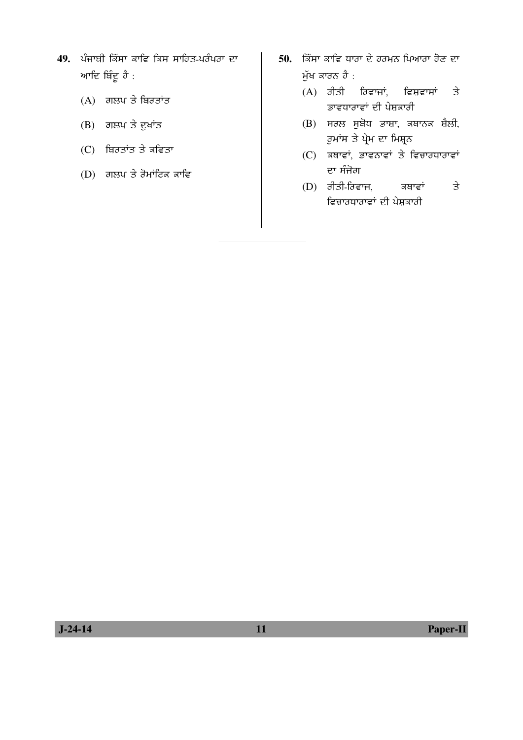- 49. ਪੰਜਾਬੀ ਕਿੱਸਾ ਕਾਵਿ ਕਿਸ ਸਾਹਿਤ-ਪਰੰਪਰਾ ਦਾ ਆਦਿ ਬਿੰਦੂ ਹੈ :
	- $(A)$  ਗਲਪ ਤੇ ਬਿਰਤਾਂਤ
	- $(B)$  ਗਲਪ ਤੇ ਦੁਖਾਂਤ
	- $(C)$  ਬਿਰਤਾਂਤ ਤੇ ਕਵਿਤਾ
	- $(D)$ ਂ ਗਲਪ ਤੇ ਰੋਮਾਂਟਿਕ ਕਾਵਿ
- 50. **ਕਿੱਸਾ ਕਾਵਿ ਧਾਰਾ ਦੇ ਹਰਮਨ ਪਿਆਰਾ ਹੋਣ** ਦਾ ਮੁੱਖ ਕਾਰਨ ਹੈ :
	- $(A)$  ਰੀਤੀ ਰਿਵਾਜਾਂ, ਵਿਸ਼ਵਾਸਾਂ ਤੇ ਣਾਵਧਾਰਾਵਾਂ ਦੀ ਪੇਸ਼ਕਾਰੀ
	- $(B)$  ਸਰਲ ਸੁਬੋਧ ਭਾਸ਼ਾ, ਕਥਾਨਕ ਸ਼ੈਲੀ, ਰੁਮਾਂਸ ਤੇ ਪ੍ਰੇਮ ਦਾ ਮਿਸ਼੍ਰਨ
	- $(C)$  ਕਥਾਵਾਂ, ਭਾਵਨਾਵਾਂ ਤੇ ਵਿਚਾਰਧਾਰਾਵਾਂ ਦਾ ਸੰਜੋਗ
	- $(D)$  ਰੀਤੀ-ਰਿਵਾਜ, ਕਥਾਵਾਂ ਤੇ ਵਿਚਾਰਧਾਰਾਵਾਂ ਦੀ ਪੇਸ਼ਕਾਰੀ